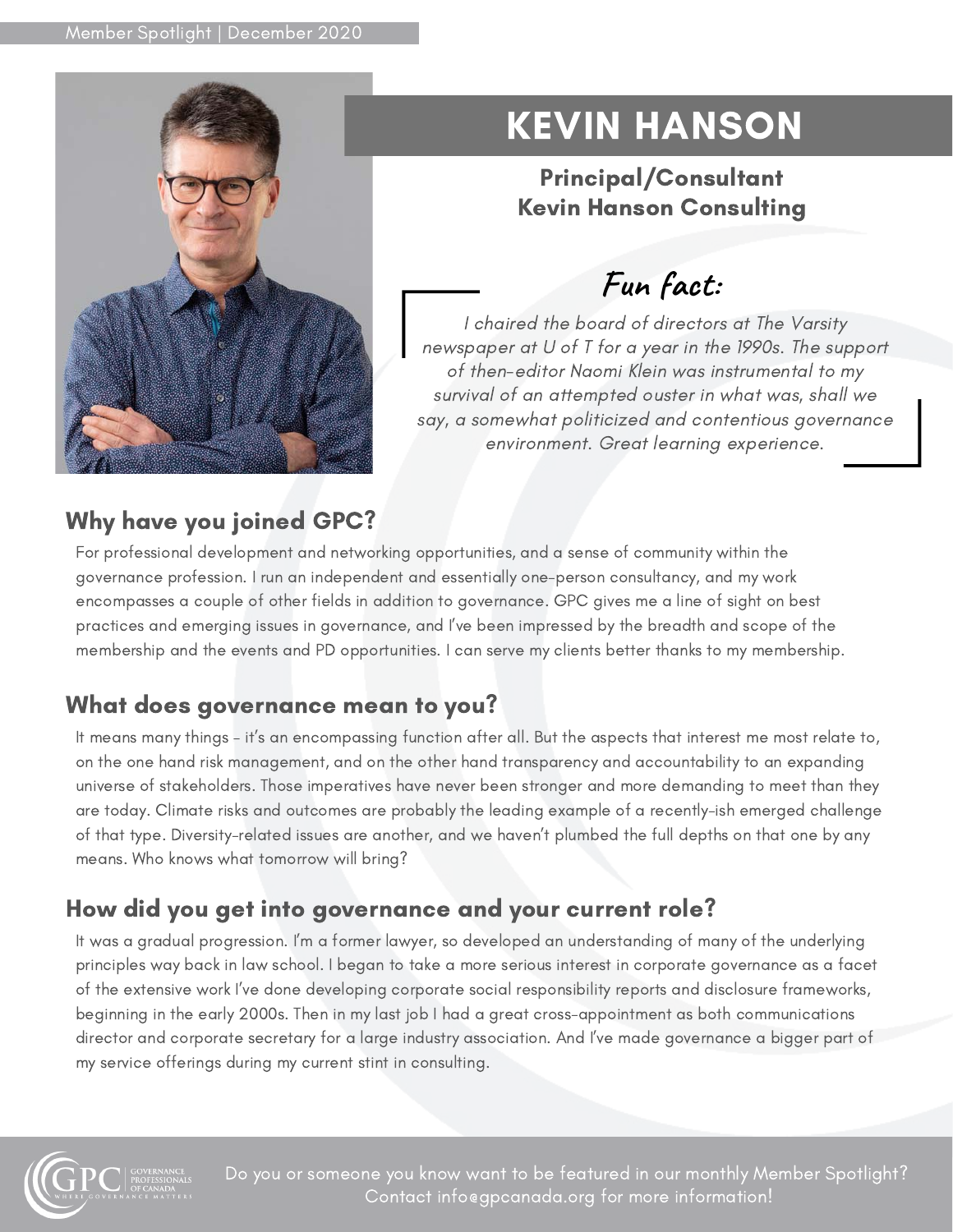

# KEVIN HANSON

#### Principal/Consultant Kevin Hanson Consulting

## **Fun fact:**

I chaired the board of directors at The Varsity newspaper at U of T for a year in the 1990s. The support of then-editor Naomi Klein was instrumental to my survival of an attempted ouster in what was, shall we say, a somewhat politicized and contentious governance environment. Great learning experience.

### Why have you joined GPC?

For professional development and networking opportunities, and a sense of community within the governance profession. I run an independent and essentially one-person consultancy, and my work encompasses a couple of other fields in addition to governance. GPC gives me a line of sight on best practices and emerging issues in governance, and I've been impressed by the breadth and scope of the membership and the events and PD opportunities. I can serve my clients better thanks to my membership.

#### What does governance mean to you?

It means many things – it's an encompassing function after all. But the aspects that interest me most relate to, on the one hand risk management, and on the other hand transparency and accountability to an expanding universe of stakeholders. Those imperatives have never been stronger and more demanding to meet than they are today. Climate risks and outcomes are probably the leading example of a recently-ish emerged challenge of that type. Diversity-related issues are another, and we haven't plumbed the full depths on that one by any means. Who knows what tomorrow will bring?

### How did you get into governance and your current role?

It was a gradual progression. I'm a former lawyer, so developed an understanding of many of the underlying principles way back in law school. I began to take a more serious interest in corporate governance as a facet of the extensive work I've done developing corporate social responsibility reports and disclosure frameworks, beginning in the early 2000s. Then in my last job I had a great cross-appointment as both communications director and corporate secretary for a large industry association. And I've made governance a bigger part of my service offerings during my current stint in consulting.



Do you or someone you know want to be featured in our monthly Member Spotlight? Contact info@gpcanada.org for more information!